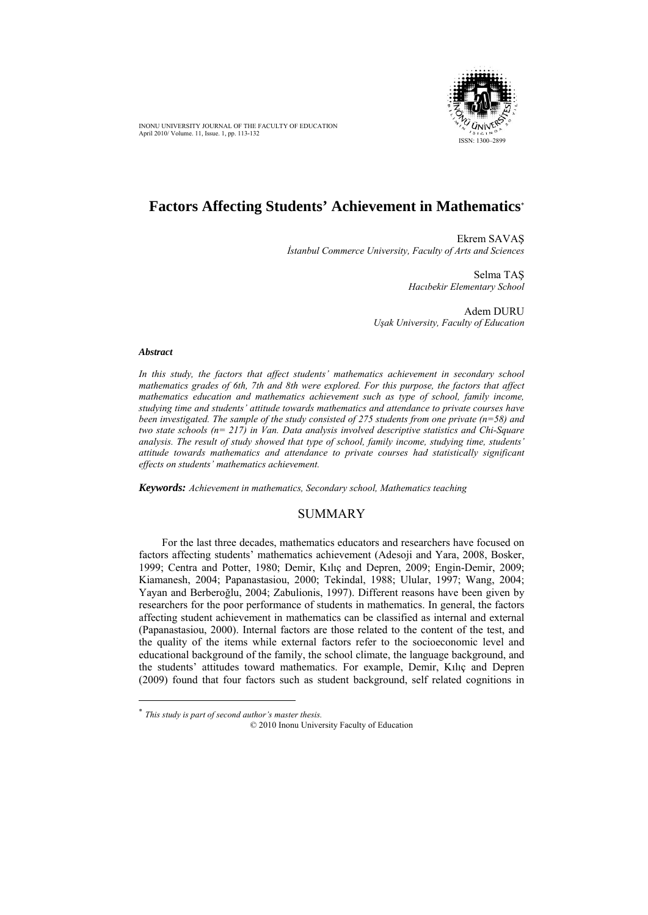

INONU UNIVERSITY JOURNAL OF THE FACULTY OF EDUCATION April 2010/ Volume. 11, Issue. 1, pp. 113-132

# **Factors Affecting Students' Achievement in Mathematics**<sup>∗</sup>

Ekrem SAVAŞ *İstanbul Commerce University, Faculty of Arts and Sciences* 

> Selma TAŞ *Hacıbekir Elementary School*

Adem DURU *Uşak University, Faculty of Education* 

## *Abstract*

 $\overline{a}$ 

In this study, the factors that affect students' mathematics achievement in secondary school *mathematics grades of 6th, 7th and 8th were explored. For this purpose, the factors that affect mathematics education and mathematics achievement such as type of school, family income, studying time and students' attitude towards mathematics and attendance to private courses have been investigated. The sample of the study consisted of 275 students from one private (n=58) and two state schools (n= 217) in Van. Data analysis involved descriptive statistics and Chi-Square analysis. The result of study showed that type of school, family income, studying time, students' attitude towards mathematics and attendance to private courses had statistically significant effects on students' mathematics achievement.* 

*Keywords: Achievement in mathematics, Secondary school, Mathematics teaching* 

# SUMMARY

For the last three decades, mathematics educators and researchers have focused on factors affecting students' mathematics achievement (Adesoji and Yara, 2008, Bosker, 1999; Centra and Potter, 1980; Demir, Kılıç and Depren, 2009; Engin-Demir, 2009; Kiamanesh, 2004; Papanastasiou, 2000; Tekindal, 1988; Ulular, 1997; Wang, 2004; Yayan and Berberoğlu, 2004; Zabulionis, 1997). Different reasons have been given by researchers for the poor performance of students in mathematics. In general, the factors affecting student achievement in mathematics can be classified as internal and external (Papanastasiou, 2000). Internal factors are those related to the content of the test, and the quality of the items while external factors refer to the socioeconomic level and educational background of the family, the school climate, the language background, and the students' attitudes toward mathematics. For example, Demir, Kılıç and Depren (2009) found that four factors such as student background, self related cognitions in

<sup>∗</sup> *This study is part of second author's master thesis.*

<sup>© 2010</sup> Inonu University Faculty of Education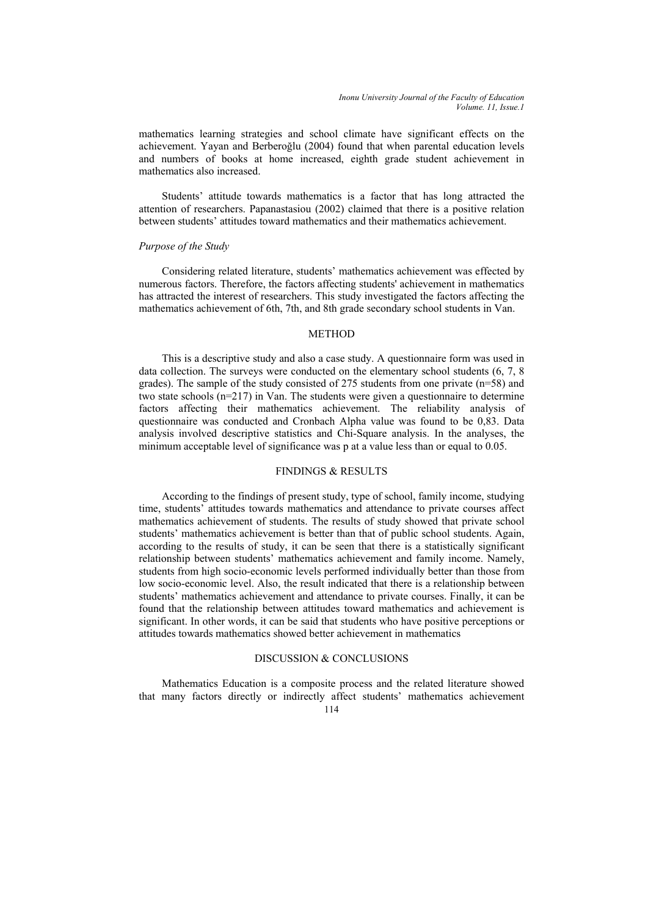mathematics learning strategies and school climate have significant effects on the achievement. Yayan and Berberoğlu (2004) found that when parental education levels and numbers of books at home increased, eighth grade student achievement in mathematics also increased.

Students' attitude towards mathematics is a factor that has long attracted the attention of researchers. Papanastasiou (2002) claimed that there is a positive relation between students' attitudes toward mathematics and their mathematics achievement.

#### *Purpose of the Study*

Considering related literature, students' mathematics achievement was effected by numerous factors. Therefore, the factors affecting students' achievement in mathematics has attracted the interest of researchers. This study investigated the factors affecting the mathematics achievement of 6th, 7th, and 8th grade secondary school students in Van.

#### METHOD

This is a descriptive study and also a case study. A questionnaire form was used in data collection. The surveys were conducted on the elementary school students (6, 7, 8 grades). The sample of the study consisted of 275 students from one private  $(n=58)$  and two state schools (n=217) in Van. The students were given a questionnaire to determine factors affecting their mathematics achievement. The reliability analysis of questionnaire was conducted and Cronbach Alpha value was found to be 0,83. Data analysis involved descriptive statistics and Chi-Square analysis. In the analyses, the minimum acceptable level of significance was p at a value less than or equal to 0.05.

## FINDINGS & RESULTS

According to the findings of present study, type of school, family income, studying time, students' attitudes towards mathematics and attendance to private courses affect mathematics achievement of students. The results of study showed that private school students' mathematics achievement is better than that of public school students. Again, according to the results of study, it can be seen that there is a statistically significant relationship between students' mathematics achievement and family income. Namely, students from high socio-economic levels performed individually better than those from low socio-economic level. Also, the result indicated that there is a relationship between students' mathematics achievement and attendance to private courses. Finally, it can be found that the relationship between attitudes toward mathematics and achievement is significant. In other words, it can be said that students who have positive perceptions or attitudes towards mathematics showed better achievement in mathematics

#### DISCUSSION & CONCLUSIONS

Mathematics Education is a composite process and the related literature showed that many factors directly or indirectly affect students' mathematics achievement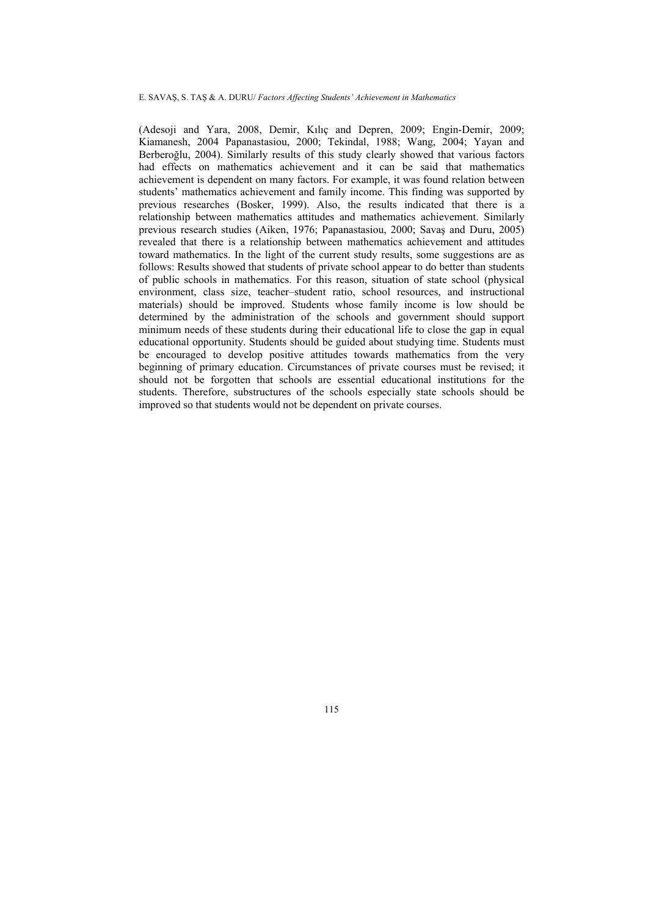(Adesoji and Yara, 2008, Demir, Kılıç and Depren, 2009; Engin-Demir, 2009; Kiamanesh, 2004 Papanastasiou, 2000; Tekindal, 1988; Wang, 2004; Yayan and Berberoğlu, 2004). Similarly results of this study clearly showed that various factors had effects on mathematics achievement and it can be said that mathematics achievement is dependent on many factors. For example, it was found relation between students' mathematics achievement and family income. This finding was supported by previous researches (Bosker, 1999). Also, the results indicated that there is a relationship between mathematics attitudes and mathematics achievement. Similarly previous research studies (Aiken, 1976; Papanastasiou, 2000; Savaş and Duru, 2005) revealed that there is a relationship between mathematics achievement and attitudes toward mathematics. In the light of the current study results, some suggestions are as follows: Results showed that students of private school appear to do better than students of public schools in mathematics. For this reason, situation of state school (physical environment, class size, teacher–student ratio, school resources, and instructional materials) should be improved. Students whose family income is low should be determined by the administration of the schools and government should support minimum needs of these students during their educational life to close the gap in equal educational opportunity. Students should be guided about studying time. Students must be encouraged to develop positive attitudes towards mathematics from the very beginning of primary education. Circumstances of private courses must be revised; it should not be forgotten that schools are essential educational institutions for the students. Therefore, substructures of the schools especially state schools should be improved so that students would not be dependent on private courses.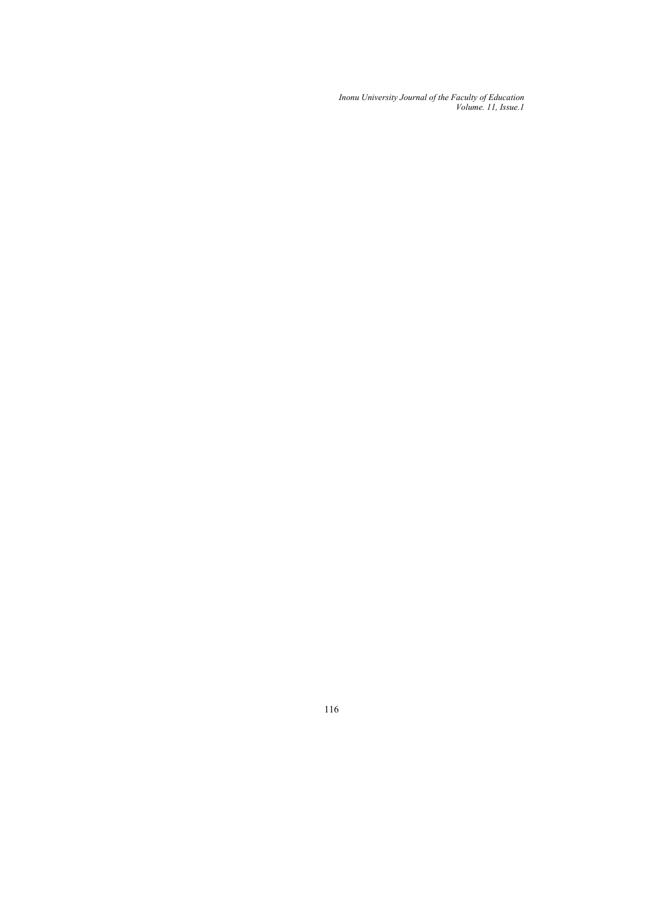*Inonu University Journal of the Faculty of Education Volume. 11, Issue.1*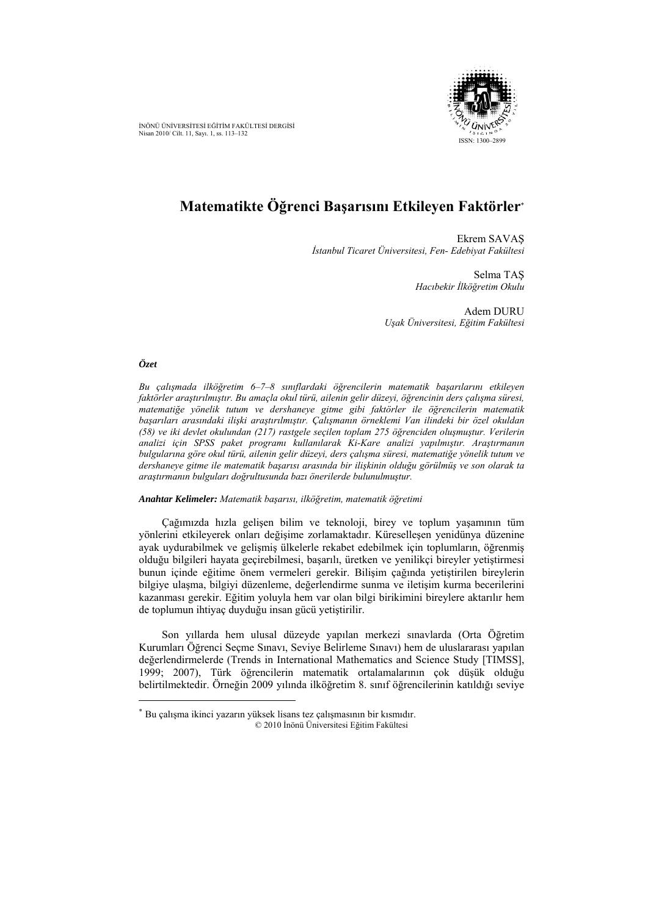İNÖNÜ ÜNİVERSİTESİ EĞİTİM FAKÜLTESİ DERGİSİ Nisan 2010/ Cilt. 11, Sayı. 1, ss. 113–132



# **Matematikte Öğrenci Başarısını Etkileyen Faktörler**<sup>∗</sup>

Ekrem SAVAŞ *İstanbul Ticaret Üniversitesi, Fen- Edebiyat Fakültesi* 

> Selma TAŞ *Hacıbekir İlköğretim Okulu*

Adem DURU *Uşak Üniversitesi, Eğitim Fakültesi* 

*Özet* 

 $\overline{a}$ 

*Bu çalışmada ilköğretim 6–7–8 sınıflardaki öğrencilerin matematik başarılarını etkileyen faktörler araştırılmıştır. Bu amaçla okul türü, ailenin gelir düzeyi, öğrencinin ders çalışma süresi, matematiğe yönelik tutum ve dershaneye gitme gibi faktörler ile öğrencilerin matematik başarıları arasındaki ilişki araştırılmıştır. Çalışmanın örneklemi Van ilindeki bir özel okuldan (58) ve iki devlet okulundan (217) rastgele seçilen toplam 275 öğrenciden oluşmuştur. Verilerin analizi için SPSS paket programı kullanılarak Ki-Kare analizi yapılmıştır. Araştırmanın bulgularına göre okul türü, ailenin gelir düzeyi, ders çalışma süresi, matematiğe yönelik tutum ve dershaneye gitme ile matematik başarısı arasında bir ilişkinin olduğu görülmüş ve son olarak ta araştırmanın bulguları doğrultusunda bazı önerilerde bulunulmuştur.* 

### *Anahtar Kelimeler: Matematik başarısı, ilköğretim, matematik öğretimi*

Çağımızda hızla gelişen bilim ve teknoloji, birey ve toplum yaşamının tüm yönlerini etkileyerek onları değişime zorlamaktadır. Küreselleşen yenidünya düzenine ayak uydurabilmek ve gelişmiş ülkelerle rekabet edebilmek için toplumların, öğrenmiş olduğu bilgileri hayata geçirebilmesi, başarılı, üretken ve yenilikçi bireyler yetiştirmesi bunun içinde eğitime önem vermeleri gerekir. Bilişim çağında yetiştirilen bireylerin bilgiye ulaşma, bilgiyi düzenleme, değerlendirme sunma ve iletişim kurma becerilerini kazanması gerekir. Eğitim yoluyla hem var olan bilgi birikimini bireylere aktarılır hem de toplumun ihtiyaç duyduğu insan gücü yetiştirilir.

Son yıllarda hem ulusal düzeyde yapılan merkezi sınavlarda (Orta Öğretim Kurumları Öğrenci Seçme Sınavı, Seviye Belirleme Sınavı) hem de uluslararası yapılan değerlendirmelerde (Trends in International Mathematics and Science Study [TIMSS], 1999; 2007), Türk öğrencilerin matematik ortalamalarının çok düşük olduğu belirtilmektedir. Örneğin 2009 yılında ilköğretim 8. sınıf öğrencilerinin katıldığı seviye

<sup>© 2010</sup> İnönü Üniversitesi Eğitim Fakültesi <sup>∗</sup> Bu çalışma ikinci yazarın yüksek lisans tez çalışmasının bir kısmıdır.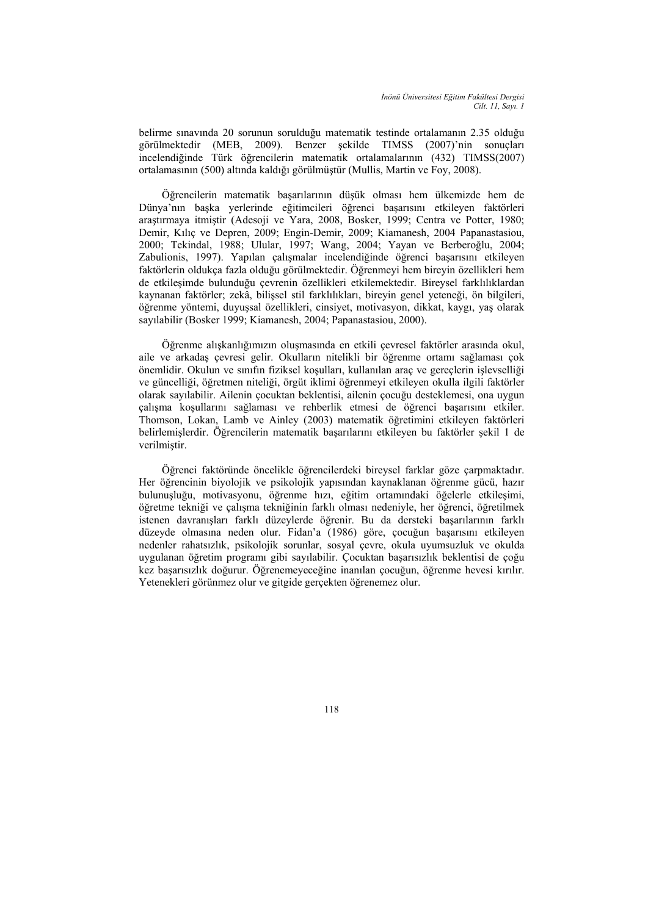belirme sınavında 20 sorunun sorulduğu matematik testinde ortalamanın 2.35 olduğu görülmektedir (MEB, 2009). Benzer şekilde TIMSS (2007)'nin sonuçları incelendiğinde Türk öğrencilerin matematik ortalamalarının (432) TIMSS(2007) ortalamasının (500) altında kaldığı görülmüştür (Mullis, Martin ve Foy, 2008).

Öğrencilerin matematik başarılarının düşük olması hem ülkemizde hem de Dünya'nın başka yerlerinde eğitimcileri öğrenci başarısını etkileyen faktörleri araştırmaya itmiştir (Adesoji ve Yara, 2008, Bosker, 1999; Centra ve Potter, 1980; Demir, Kılıç ve Depren, 2009; Engin-Demir, 2009; Kiamanesh, 2004 Papanastasiou, 2000; Tekindal, 1988; Ulular, 1997; Wang, 2004; Yayan ve Berberoğlu, 2004; Zabulionis, 1997). Yapılan çalışmalar incelendiğinde öğrenci başarısını etkileyen faktörlerin oldukça fazla olduğu görülmektedir. Öğrenmeyi hem bireyin özellikleri hem de etkileşimde bulunduğu çevrenin özellikleri etkilemektedir. Bireysel farklılıklardan kaynanan faktörler; zekâ, bilişsel stil farklılıkları, bireyin genel yeteneği, ön bilgileri, öğrenme yöntemi, duyuşsal özellikleri, cinsiyet, motivasyon, dikkat, kaygı, yaş olarak sayılabilir (Bosker 1999; Kiamanesh, 2004; Papanastasiou, 2000).

Öğrenme alışkanlığımızın oluşmasında en etkili çevresel faktörler arasında okul, aile ve arkadaş çevresi gelir. Okulların nitelikli bir öğrenme ortamı sağlaması çok önemlidir. Okulun ve sınıfın fiziksel koşulları, kullanılan araç ve gereçlerin işlevselliği ve güncelliği, öğretmen niteliği, örgüt iklimi öğrenmeyi etkileyen okulla ilgili faktörler olarak sayılabilir. Ailenin çocuktan beklentisi, ailenin çocuğu desteklemesi, ona uygun çalışma koşullarını sağlaması ve rehberlik etmesi de öğrenci başarısını etkiler. Thomson, Lokan, Lamb ve Ainley (2003) matematik öğretimini etkileyen faktörleri belirlemişlerdir. Öğrencilerin matematik başarılarını etkileyen bu faktörler şekil 1 de verilmiştir.

Öğrenci faktöründe öncelikle öğrencilerdeki bireysel farklar göze çarpmaktadır. Her öğrencinin biyolojik ve psikolojik yapısından kaynaklanan öğrenme gücü, hazır bulunuşluğu, motivasyonu, öğrenme hızı, eğitim ortamındaki öğelerle etkileşimi, öğretme tekniği ve çalışma tekniğinin farklı olması nedeniyle, her öğrenci, öğretilmek istenen davranışları farklı düzeylerde öğrenir. Bu da dersteki başarılarının farklı düzeyde olmasına neden olur. Fidan'a (1986) göre, çocuğun başarısını etkileyen nedenler rahatsızlık, psikolojik sorunlar, sosyal çevre, okula uyumsuzluk ve okulda uygulanan öğretim programı gibi sayılabilir. Çocuktan başarısızlık beklentisi de çoğu kez başarısızlık doğurur. Öğrenemeyeceğine inanılan çocuğun, öğrenme hevesi kırılır. Yetenekleri görünmez olur ve gitgide gerçekten öğrenemez olur.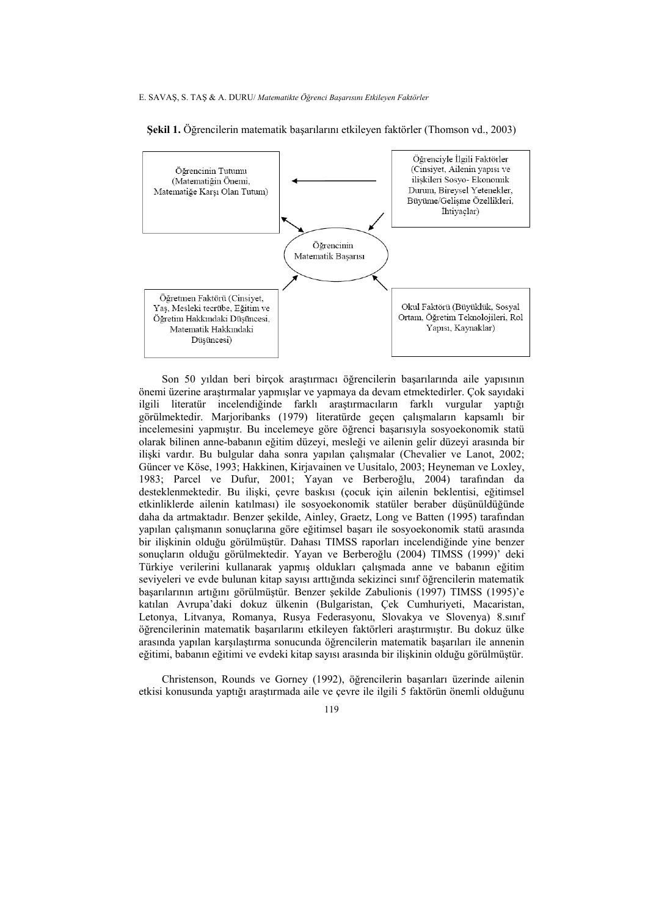

**Şekil 1.** Öğrencilerin matematik başarılarını etkileyen faktörler (Thomson vd., 2003)

Son 50 yıldan beri birçok araştırmacı öğrencilerin başarılarında aile yapısının önemi üzerine araştırmalar yapmışlar ve yapmaya da devam etmektedirler. Çok sayıdaki ilgili literatür incelendiğinde farklı araştırmacıların farklı vurgular yaptığı görülmektedir. Marjoribanks (1979) literatürde geçen çalışmaların kapsamlı bir incelemesini yapmıştır. Bu incelemeye göre öğrenci başarısıyla sosyoekonomik statü olarak bilinen anne-babanın eğitim düzeyi, mesleği ve ailenin gelir düzeyi arasında bir ilişki vardır. Bu bulgular daha sonra yapılan çalışmalar (Chevalier ve Lanot, 2002; Güncer ve Köse, 1993; Hakkinen, Kirjavainen ve Uusitalo, 2003; Heyneman ve Loxley, 1983; Parcel ve Dufur, 2001; Yayan ve Berberoğlu, 2004) tarafından da desteklenmektedir. Bu ilişki, çevre baskısı (çocuk için ailenin beklentisi, eğitimsel etkinliklerde ailenin katılması) ile sosyoekonomik statüler beraber düşünüldüğünde daha da artmaktadır. Benzer şekilde, Ainley, Graetz, Long ve Batten (1995) tarafından yapılan çalışmanın sonuçlarına göre eğitimsel başarı ile sosyoekonomik statü arasında bir ilişkinin olduğu görülmüştür. Dahası TIMSS raporları incelendiğinde yine benzer sonuçların olduğu görülmektedir. Yayan ve Berberoğlu (2004) TIMSS (1999)' deki Türkiye verilerini kullanarak yapmış oldukları çalışmada anne ve babanın eğitim seviyeleri ve evde bulunan kitap sayısı arttığında sekizinci sınıf öğrencilerin matematik başarılarının artığını görülmüştür. Benzer şekilde Zabulionis (1997) TIMSS (1995)'e katılan Avrupa'daki dokuz ülkenin (Bulgaristan, Çek Cumhuriyeti, Macaristan, Letonya, Litvanya, Romanya, Rusya Federasyonu, Slovakya ve Slovenya) 8.sınıf öğrencilerinin matematik başarılarını etkileyen faktörleri araştırmıştır. Bu dokuz ülke arasında yapılan karşılaştırma sonucunda öğrencilerin matematik başarıları ile annenin eğitimi, babanın eğitimi ve evdeki kitap sayısı arasında bir ilişkinin olduğu görülmüştür.

Christenson, Rounds ve Gorney (1992), öğrencilerin başarıları üzerinde ailenin etkisi konusunda yaptığı araştırmada aile ve çevre ile ilgili 5 faktörün önemli olduğunu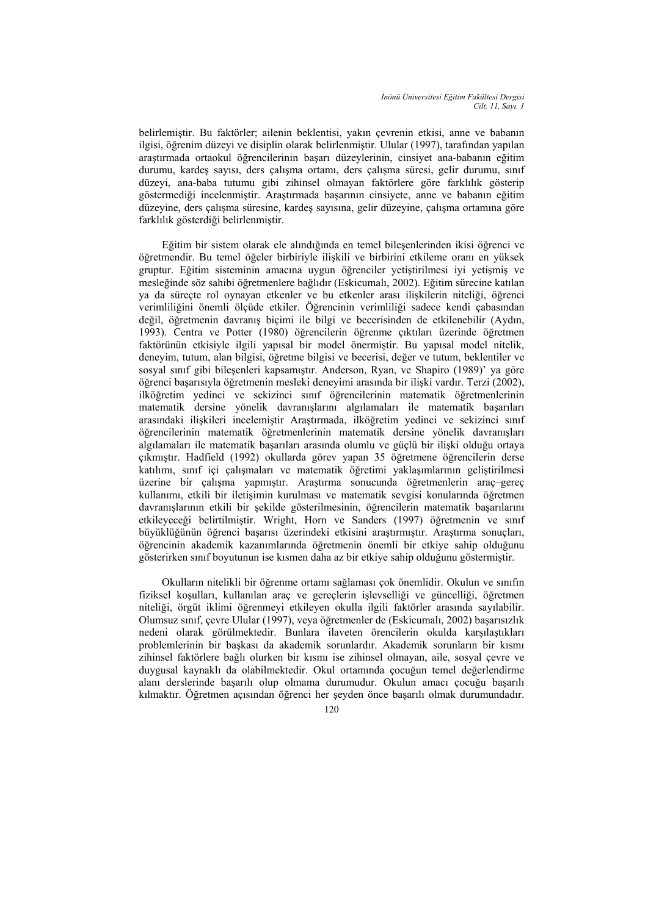belirlemiştir. Bu faktörler; ailenin beklentisi, yakın çevrenin etkisi, anne ve babanın ilgisi, öğrenim düzeyi ve disiplin olarak belirlenmiştir. Ulular (1997), tarafından yapılan araştırmada ortaokul öğrencilerinin başarı düzeylerinin, cinsiyet ana-babanın eğitim durumu, kardeş sayısı, ders çalışma ortamı, ders çalışma süresi, gelir durumu, sınıf düzeyi, ana-baba tutumu gibi zihinsel olmayan faktörlere göre farklılık gösterip göstermediği incelenmiştir. Araştırmada başarının cinsiyete, anne ve babanın eğitim düzeyine, ders çalışma süresine, kardeş sayısına, gelir düzeyine, çalışma ortamına göre farklılık gösterdiği belirlenmiştir.

Eğitim bir sistem olarak ele alındığında en temel bileşenlerinden ikisi öğrenci ve öğretmendir. Bu temel öğeler birbiriyle ilişkili ve birbirini etkileme oranı en yüksek gruptur. Eğitim sisteminin amacına uygun öğrenciler yetiştirilmesi iyi yetişmiş ve mesleğinde söz sahibi öğretmenlere bağlıdır (Eskicumalı, 2002). Eğitim sürecine katılan ya da süreçte rol oynayan etkenler ve bu etkenler arası ilişkilerin niteliği, öğrenci verimliliğini önemli ölçüde etkiler. Öğrencinin verimliliği sadece kendi çabasından değil, öğretmenin davranış biçimi ile bilgi ve becerisinden de etkilenebilir (Aydın, 1993). Centra ve Potter (1980) öğrencilerin öğrenme çıktıları üzerinde öğretmen faktörünün etkisiyle ilgili yapısal bir model önermiştir. Bu yapısal model nitelik, deneyim, tutum, alan bilgisi, öğretme bilgisi ve becerisi, değer ve tutum, beklentiler ve sosyal sınıf gibi bileşenleri kapsamıştır. Anderson, Ryan, ve Shapiro (1989)' ya göre öğrenci başarısıyla öğretmenin mesleki deneyimi arasında bir ilişki vardır. Terzi (2002), ilköğretim yedinci ve sekizinci sınıf öğrencilerinin matematik öğretmenlerinin matematik dersine yönelik davranışlarını algılamaları ile matematik başarıları arasındaki ilişkileri incelemiştir Araştırmada, ilköğretim yedinci ve sekizinci sınıf öğrencilerinin matematik öğretmenlerinin matematik dersine yönelik davranışları algılamaları ile matematik başarıları arasında olumlu ve güçlü bir ilişki olduğu ortaya çıkmıştır. Hadfield (1992) okullarda görev yapan 35 öğretmene öğrencilerin derse katılımı, sınıf içi çalışmaları ve matematik öğretimi yaklaşımlarının geliştirilmesi üzerine bir çalışma yapmıştır. Araştırma sonucunda öğretmenlerin araç–gereç kullanımı, etkili bir iletişimin kurulması ve matematik sevgisi konularında öğretmen davranışlarının etkili bir şekilde gösterilmesinin, öğrencilerin matematik başarılarını etkileyeceği belirtilmiştir. Wright, Horn ve Sanders (1997) öğretmenin ve sınıf büyüklüğünün öğrenci başarısı üzerindeki etkisini araştırmıştır. Araştırma sonuçları, öğrencinin akademik kazanımlarında öğretmenin önemli bir etkiye sahip olduğunu gösterirken sınıf boyutunun ise kısmen daha az bir etkiye sahip olduğunu göstermiştir.

Okulların nitelikli bir öğrenme ortamı sağlaması çok önemlidir. Okulun ve sınıfın fiziksel koşulları, kullanılan araç ve gereçlerin işlevselliği ve güncelliği, öğretmen niteliği, örgüt iklimi öğrenmeyi etkileyen okulla ilgili faktörler arasında sayılabilir. Olumsuz sınıf, çevre Ulular (1997), veya öğretmenler de (Eskicumalı, 2002) başarısızlık nedeni olarak görülmektedir. Bunlara ilaveten örencilerin okulda karşılaştıkları problemlerinin bir başkası da akademik sorunlardır. Akademik sorunların bir kısmı zihinsel faktörlere bağlı olurken bir kısmı ise zihinsel olmayan, aile, sosyal çevre ve duygusal kaynaklı da olabilmektedir. Okul ortamında çocuğun temel değerlendirme alanı derslerinde başarılı olup olmama durumudur. Okulun amacı çocuğu başarılı kılmaktır. Öğretmen açısından öğrenci her şeyden önce başarılı olmak durumundadır.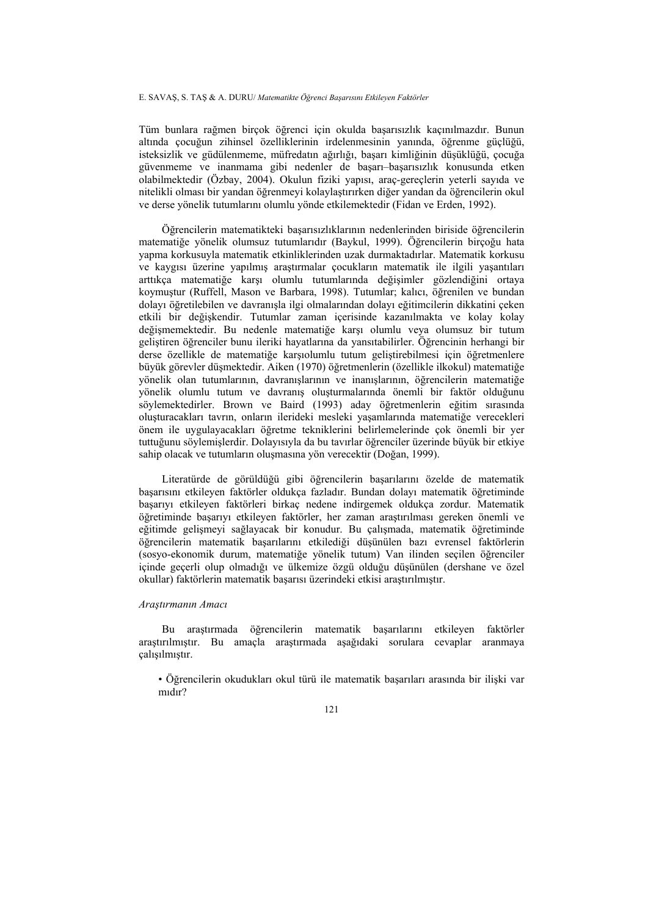Tüm bunlara rağmen birçok öğrenci için okulda başarısızlık kaçınılmazdır. Bunun altında çocuğun zihinsel özelliklerinin irdelenmesinin yanında, öğrenme güçlüğü, isteksizlik ve güdülenmeme, müfredatın ağırlığı, başarı kimliğinin düşüklüğü, çocuğa güvenmeme ve inanmama gibi nedenler de başarı–başarısızlık konusunda etken olabilmektedir (Özbay, 2004). Okulun fiziki yapısı, araç-gereçlerin yeterli sayıda ve nitelikli olması bir yandan öğrenmeyi kolaylaştırırken diğer yandan da öğrencilerin okul ve derse yönelik tutumlarını olumlu yönde etkilemektedir (Fidan ve Erden, 1992).

Öğrencilerin matematikteki başarısızlıklarının nedenlerinden biriside öğrencilerin matematiğe yönelik olumsuz tutumlarıdır (Baykul, 1999). Öğrencilerin birçoğu hata yapma korkusuyla matematik etkinliklerinden uzak durmaktadırlar. Matematik korkusu ve kaygısı üzerine yapılmış araştırmalar çocukların matematik ile ilgili yaşantıları arttıkça matematiğe karşı olumlu tutumlarında değişimler gözlendiğini ortaya koymuştur (Ruffell, Mason ve Barbara, 1998). Tutumlar; kalıcı, öğrenilen ve bundan dolayı öğretilebilen ve davranışla ilgi olmalarından dolayı eğitimcilerin dikkatini çeken etkili bir değişkendir. Tutumlar zaman içerisinde kazanılmakta ve kolay kolay değişmemektedir. Bu nedenle matematiğe karşı olumlu veya olumsuz bir tutum geliştiren öğrenciler bunu ileriki hayatlarına da yansıtabilirler. Öğrencinin herhangi bir derse özellikle de matematiğe karşıolumlu tutum geliştirebilmesi için öğretmenlere büyük görevler düşmektedir. Aiken (1970) öğretmenlerin (özellikle ilkokul) matematiğe yönelik olan tutumlarının, davranışlarının ve inanışlarının, öğrencilerin matematiğe yönelik olumlu tutum ve davranış oluşturmalarında önemli bir faktör olduğunu söylemektedirler. Brown ve Baird (1993) aday öğretmenlerin eğitim sırasında oluşturacakları tavrın, onların ilerideki mesleki yaşamlarında matematiğe verecekleri önem ile uygulayacakları öğretme tekniklerini belirlemelerinde çok önemli bir yer tuttuğunu söylemişlerdir. Dolayısıyla da bu tavırlar öğrenciler üzerinde büyük bir etkiye sahip olacak ve tutumların oluşmasına yön verecektir (Doğan, 1999).

Literatürde de görüldüğü gibi öğrencilerin başarılarını özelde de matematik başarısını etkileyen faktörler oldukça fazladır. Bundan dolayı matematik öğretiminde başarıyı etkileyen faktörleri birkaç nedene indirgemek oldukça zordur. Matematik öğretiminde başarıyı etkileyen faktörler, her zaman araştırılması gereken önemli ve eğitimde gelişmeyi sağlayacak bir konudur. Bu çalışmada, matematik öğretiminde öğrencilerin matematik başarılarını etkilediği düşünülen bazı evrensel faktörlerin (sosyo-ekonomik durum, matematiğe yönelik tutum) Van ilinden seçilen öğrenciler içinde geçerli olup olmadığı ve ülkemize özgü olduğu düşünülen (dershane ve özel okullar) faktörlerin matematik başarısı üzerindeki etkisi araştırılmıştır.

#### *Araştırmanın Amacı*

Bu araştırmada öğrencilerin matematik başarılarını etkileyen faktörler araştırılmıştır. Bu amaçla araştırmada aşağıdaki sorulara cevaplar aranmaya çalışılmıştır.

• Öğrencilerin okudukları okul türü ile matematik başarıları arasında bir ilişki var mıdır?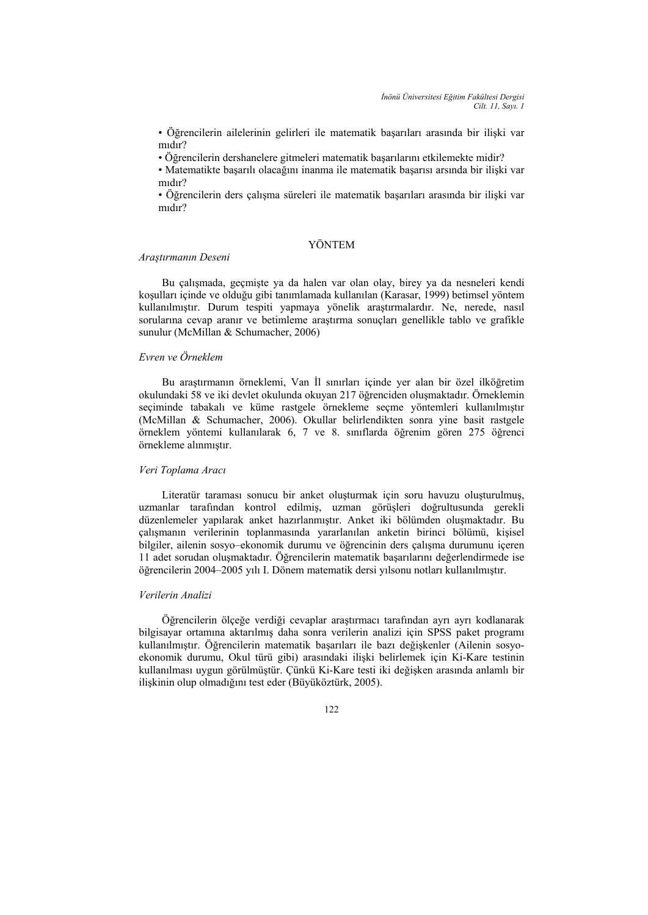• Öğrencilerin ailelerinin gelirleri ile matematik başarıları arasında bir ilişki var mıdır?

• Öğrencilerin dershanelere gitmeleri matematik başarılarını etkilemekte midir?

• Matematikte başarılı olacağını inanma ile matematik başarısı arsında bir ilişki var mıdır?

• Öğrencilerin ders çalışma süreleri ile matematik başarıları arasında bir ilişki var mıdır?

## YÖNTEM

#### *Araştırmanın Deseni*

Bu çalışmada, geçmişte ya da halen var olan olay, birey ya da nesneleri kendi koşulları içinde ve olduğu gibi tanımlamada kullanılan (Karasar, 1999) betimsel yöntem kullanılmıştır. Durum tespiti yapmaya yönelik araştırmalardır. Ne, nerede, nasıl sorularına cevap aranır ve betimleme araştırma sonuçları genellikle tablo ve grafikle sunulur (McMillan & Schumacher, 2006)

## *Evren ve Örneklem*

Bu araştırmanın örneklemi, Van İl sınırları içinde yer alan bir özel ilköğretim okulundaki 58 ve iki devlet okulunda okuyan 217 öğrenciden oluşmaktadır. Örneklemin seçiminde tabakalı ve küme rastgele örnekleme seçme yöntemleri kullanılmıştır (McMillan & Schumacher, 2006). Okullar belirlendikten sonra yine basit rastgele örneklem yöntemi kullanılarak 6, 7 ve 8. sınıflarda öğrenim gören 275 öğrenci örnekleme alınmıştır.

## *Veri Toplama Aracı*

Literatür taraması sonucu bir anket oluşturmak için soru havuzu oluşturulmuş, uzmanlar tarafından kontrol edilmiş, uzman görüşleri doğrultusunda gerekli düzenlemeler yapılarak anket hazırlanmıştır. Anket iki bölümden oluşmaktadır. Bu çalışmanın verilerinin toplanmasında yararlanılan anketin birinci bölümü, kişisel bilgiler, ailenin sosyo–ekonomik durumu ve öğrencinin ders çalışma durumunu içeren 11 adet sorudan oluşmaktadır. Öğrencilerin matematik başarılarını değerlendirmede ise öğrencilerin 2004–2005 yılı I. Dönem matematik dersi yılsonu notları kullanılmıştır.

#### *Verilerin Analizi*

Öğrencilerin ölçeğe verdiği cevaplar araştırmacı tarafından ayrı ayrı kodlanarak bilgisayar ortamına aktarılmış daha sonra verilerin analizi için SPSS paket programı kullanılmıştır. Öğrencilerin matematik başarıları ile bazı değişkenler (Ailenin sosyoekonomik durumu, Okul türü gibi) arasındaki ilişki belirlemek için Ki-Kare testinin kullanılması uygun görülmüştür. Çünkü Ki-Kare testi iki değişken arasında anlamlı bir ilişkinin olup olmadığını test eder (Büyüköztürk, 2005).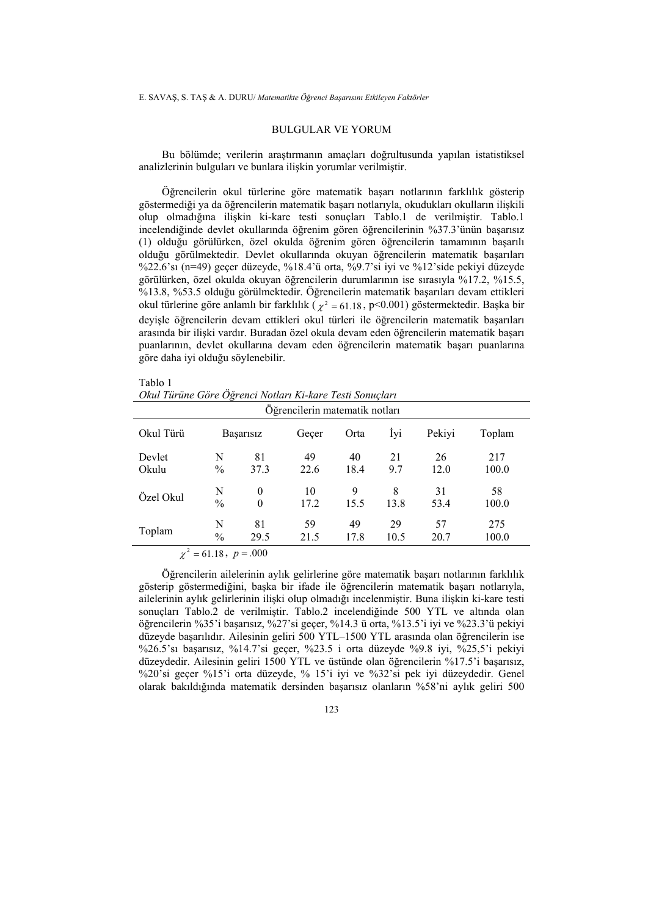## BULGULAR VE YORUM

Bu bölümde; verilerin araştırmanın amaçları doğrultusunda yapılan istatistiksel analizlerinin bulguları ve bunlara ilişkin yorumlar verilmiştir.

Öğrencilerin okul türlerine göre matematik başarı notlarının farklılık gösterip göstermediği ya da öğrencilerin matematik başarı notlarıyla, okudukları okulların ilişkili olup olmadığına ilişkin ki-kare testi sonuçları Tablo.1 de verilmiştir. Tablo.1 incelendiğinde devlet okullarında öğrenim gören öğrencilerinin %37.3'ünün başarısız (1) olduğu görülürken, özel okulda öğrenim gören öğrencilerin tamamının başarılı olduğu görülmektedir. Devlet okullarında okuyan öğrencilerin matematik başarıları %22.6'sı (n=49) geçer düzeyde, %18.4'ü orta, %9.7'si iyi ve %12'side pekiyi düzeyde görülürken, özel okulda okuyan öğrencilerin durumlarının ise sırasıyla %17.2, %15.5, %13.8, %53.5 olduğu görülmektedir. Öğrencilerin matematik başarıları devam ettikleri okul türlerine göre anlamlı bir farklılık ( $\chi^2$  = 61.18, p<0.001) göstermektedir. Başka bir deyişle öğrencilerin devam ettikleri okul türleri ile öğrencilerin matematik başarıları arasında bir ilişki vardır. Buradan özel okula devam eden öğrencilerin matematik başarı puanlarının, devlet okullarına devam eden öğrencilerin matematik başarı puanlarına göre daha iyi olduğu söylenebilir.

Tablo 1 *Okul Türüne Göre Öğrenci Notları Ki-kare Testi Sonuçları*

| Öğrencilerin matematik notları |               |                  |       |      |      |        |        |
|--------------------------------|---------------|------------------|-------|------|------|--------|--------|
| Okul Türü                      |               | <b>Basarisiz</b> | Geçer | Orta | Ivi  | Pekiyi | Toplam |
| Devlet                         | N             | 81               | 49    | 40   | 21   | 26     | 217    |
| Okulu                          | $\frac{0}{0}$ | 37.3             | 22.6  | 18.4 | 9.7  | 12.0   | 100.0  |
| Özel Okul                      | N             | $\theta$         | 10    | 9    | 8    | 31     | 58     |
|                                | $\frac{0}{0}$ | $\theta$         | 17.2  | 15.5 | 13.8 | 53.4   | 100.0  |
| Toplam                         | N             | 81               | 59    | 49   | 29   | 57     | 275    |
|                                | $\%$          | 29.5             | 21.5  | 17.8 | 10.5 | 20.7   | 100.0  |

 $\chi^2$  = 61.18,  $p = .000$ 

Öğrencilerin ailelerinin aylık gelirlerine göre matematik başarı notlarının farklılık gösterip göstermediğini, başka bir ifade ile öğrencilerin matematik başarı notlarıyla, ailelerinin aylık gelirlerinin ilişki olup olmadığı incelenmiştir. Buna ilişkin ki-kare testi sonuçları Tablo.2 de verilmiştir. Tablo.2 incelendiğinde 500 YTL ve altında olan öğrencilerin %35'i başarısız, %27'si geçer, %14.3 ü orta, %13.5'i iyi ve %23.3'ü pekiyi düzeyde başarılıdır. Ailesinin geliri 500 YTL–1500 YTL arasında olan öğrencilerin ise %26.5'sı başarısız, %14.7'si geçer, %23.5 i orta düzeyde %9.8 iyi, %25,5'i pekiyi düzeydedir. Ailesinin geliri 1500 YTL ve üstünde olan öğrencilerin %17.5'i başarısız, %20'si geçer %15'i orta düzeyde, % 15'i iyi ve %32'si pek iyi düzeydedir. Genel olarak bakıldığında matematik dersinden başarısız olanların %58'ni aylık geliri 500

123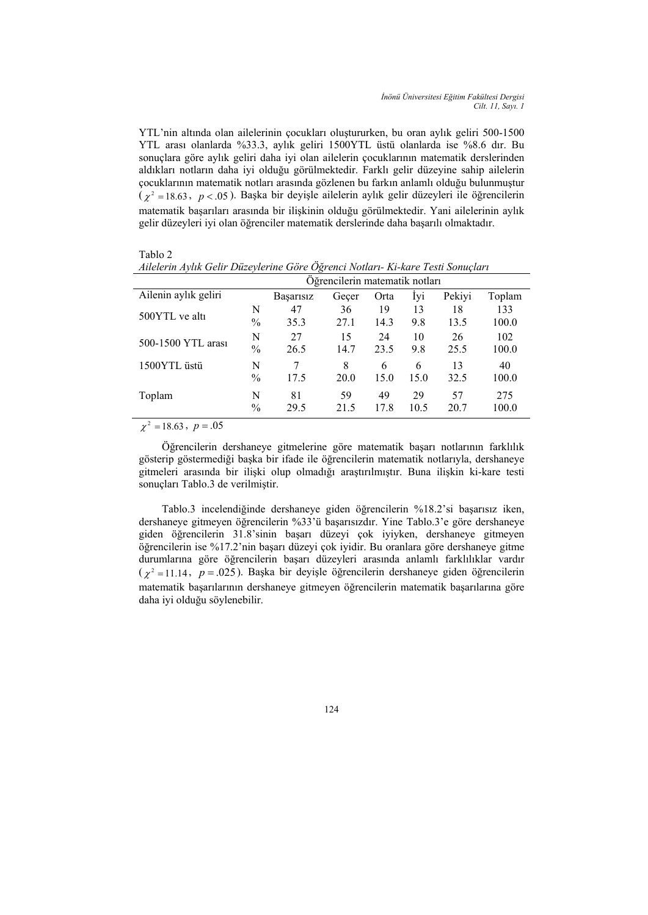YTL'nin altında olan ailelerinin çocukları oluştururken, bu oran aylık geliri 500-1500 YTL arası olanlarda %33.3, aylık geliri 1500YTL üstü olanlarda ise %8.6 dır. Bu sonuçlara göre aylık geliri daha iyi olan ailelerin çocuklarının matematik derslerinden aldıkları notların daha iyi olduğu görülmektedir. Farklı gelir düzeyine sahip ailelerin çocuklarının matematik notları arasında gözlenen bu farkın anlamlı olduğu bulunmuştur  $\left(\chi^2 = 18.63, p < .05\right)$ . Başka bir deyişle ailelerin aylık gelir düzeyleri ile öğrencilerin matematik başarıları arasında bir ilişkinin olduğu görülmektedir. Yani ailelerinin aylık gelir düzeyleri iyi olan öğrenciler matematik derslerinde daha başarılı olmaktadır.

Tablo 2 *Ailelerin Aylık Gelir Düzeylerine Göre Öğrenci Notları- Ki-kare Testi Sonuçları*

|                      | Öğrencilerin matematik notları |           |       |      |      |        |        |
|----------------------|--------------------------------|-----------|-------|------|------|--------|--------|
| Ailenin aylık geliri |                                | Basarisiz | Geçer | Orta | İyi  | Pekiyi | Toplam |
| 500YTL ve altı       | N                              | 47        | 36    | 19   | 13   | 18     | 133    |
|                      | $\frac{0}{0}$                  | 35.3      | 27.1  | 14.3 | 9.8  | 13.5   | 100.0  |
| 500-1500 YTL arası   | N                              | 27        | 15    | 24   | 10   | 26     | 102    |
|                      | $\frac{0}{0}$                  | 26.5      | 14.7  | 23.5 | 9.8  | 25.5   | 100.0  |
| 1500YTL üstü         | N                              | 7         | 8     | 6    | 6    | 13     | 40     |
|                      | $\%$                           | 17.5      | 20.0  | 15.0 | 15.0 | 32.5   | 100.0  |
| Toplam               | N                              | 81        | 59    | 49   | 29   | 57     | 275    |
|                      | $\frac{0}{0}$                  | 29.5      | 21.5  | 17.8 | 10.5 | 20.7   | 100.0  |

 $\gamma^2 = 18.63$ ,  $p = .05$ 

Öğrencilerin dershaneye gitmelerine göre matematik başarı notlarının farklılık gösterip göstermediği başka bir ifade ile öğrencilerin matematik notlarıyla, dershaneye gitmeleri arasında bir ilişki olup olmadığı araştırılmıştır. Buna ilişkin ki-kare testi sonuçları Tablo.3 de verilmiştir.

Tablo.3 incelendiğinde dershaneye giden öğrencilerin %18.2'si başarısız iken, dershaneye gitmeyen öğrencilerin %33'ü başarısızdır. Yine Tablo.3'e göre dershaneye giden öğrencilerin 31.8'sinin başarı düzeyi çok iyiyken, dershaneye gitmeyen öğrencilerin ise %17.2'nin başarı düzeyi çok iyidir. Bu oranlara göre dershaneye gitme durumlarına göre öğrencilerin başarı düzeyleri arasında anlamlı farklılıklar vardır  $\left(\chi^2 = 11.14, p = .025\right)$ . Başka bir deyişle öğrencilerin dershaneye giden öğrencilerin matematik başarılarının dershaneye gitmeyen öğrencilerin matematik başarılarına göre daha iyi olduğu söylenebilir.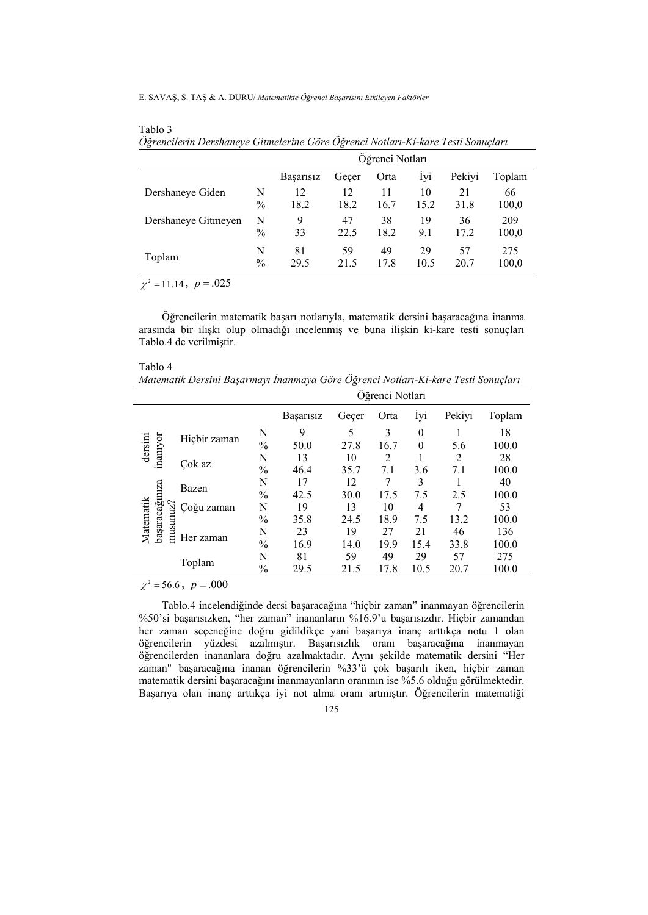|                     |               | Öğrenci Notları |       |      |      |        |        |  |
|---------------------|---------------|-----------------|-------|------|------|--------|--------|--|
|                     |               | Basarisiz       | Gecer | Orta | İyi  | Pekiyi | Toplam |  |
| Dershaneye Giden    | N             | 12              | 12    | 11   | 10   | 21     | 66     |  |
|                     | $\frac{0}{0}$ | 18.2            | 18.2  | 16.7 | 15.2 | 31.8   | 100,0  |  |
| Dershaneye Gitmeyen | N             | 9               | 47    | 38   | 19   | 36     | 209    |  |
|                     | $\frac{0}{0}$ | 33              | 22.5  | 18.2 | 9.1  | 17.2   | 100,0  |  |
| Toplam              | N             | 81              | 59    | 49   | 29   | 57     | 275    |  |
|                     | $\frac{0}{0}$ | 29.5            | 21.5  | 17.8 | 10.5 | 20.7   | 100,0  |  |

| Tablo 3                                                                          |  |  |  |  |
|----------------------------------------------------------------------------------|--|--|--|--|
| Öğrencilerin Dershaneye Gitmelerine Göre Öğrenci Notları-Ki-kare Testi Sonuçları |  |  |  |  |

 $\chi^2 = 11.14$ ,  $p = .025$ 

Öğrencilerin matematik başarı notlarıyla, matematik dersini başaracağına inanma arasında bir ilişki olup olmadığı incelenmiş ve buna ilişkin ki-kare testi sonuçları Tablo.4 de verilmiştir.

| Tablo 4                                                                           |
|-----------------------------------------------------------------------------------|
| Matematik Dersini Başarmayı İnanmaya Göre Öğrenci Notları-Ki-kare Testi Sonuçları |
|                                                                                   |

|                         |              |               | Ogrenci Notiari  |       |      |          |        |        |  |
|-------------------------|--------------|---------------|------------------|-------|------|----------|--------|--------|--|
|                         |              |               | <b>Basarisiz</b> | Geçer | Orta | İyi      | Pekiyi | Toplam |  |
|                         |              | N             | 9                | 5     | 3    | $\theta$ |        | 18     |  |
| dersini<br>inaniyor     | Hiçbir zaman | $\frac{0}{0}$ | 50.0             | 27.8  | 16.7 | $\theta$ | 5.6    | 100.0  |  |
|                         |              | N             | 13               | 10    | 2    |          | 2      | 28     |  |
| Çok az                  |              | $\frac{0}{0}$ | 46.4             | 35.7  | 7.1  | 3.6      | 7.1    | 100.0  |  |
| başaracağınıza<br>Bazen | N            | 17            | 12               | 7     | 3    |          | 40     |        |  |
|                         |              | $\frac{0}{0}$ | 42.5             | 30.0  | 17.5 | 7.5      | 2.5    | 100.0  |  |
| Matematik               | Çoğu zaman   | N             | 19               | 13    | 10   | 4        |        | 53     |  |
| musunuz?                |              | $\frac{0}{0}$ | 35.8             | 24.5  | 18.9 | 7.5      | 13.2   | 100.0  |  |
|                         | Her zaman    | N             | 23               | 19    | 27   | 21       | 46     | 136    |  |
|                         |              | $\frac{0}{0}$ | 16.9             | 14.0  | 19.9 | 15.4     | 33.8   | 100.0  |  |
|                         |              | N             | 81               | 59    | 49   | 29       | 57     | 275    |  |
| Toplam                  |              | $\frac{0}{0}$ | 29.5             | 21.5  | 17.8 | 10.5     | 20.7   | 100.0  |  |

 $\chi^2 = 56.6$ ,  $p = .000$ 

Tablo.4 incelendiğinde dersi başaracağına "hiçbir zaman" inanmayan öğrencilerin %50'si başarısızken, "her zaman" inananların %16.9'u başarısızdır. Hiçbir zamandan her zaman seçeneğine doğru gidildikçe yani başarıya inanç arttıkça notu 1 olan öğrencilerin yüzdesi azalmıştır. Başarısızlık oranı başaracağına inanmayan öğrencilerden inananlara doğru azalmaktadır. Aynı şekilde matematik dersini "Her zaman" başaracağına inanan öğrencilerin %33'ü çok başarılı iken, hiçbir zaman matematik dersini başaracağını inanmayanların oranının ise %5.6 olduğu görülmektedir. Başarıya olan inanç arttıkça iyi not alma oranı artmıştır. Öğrencilerin matematiği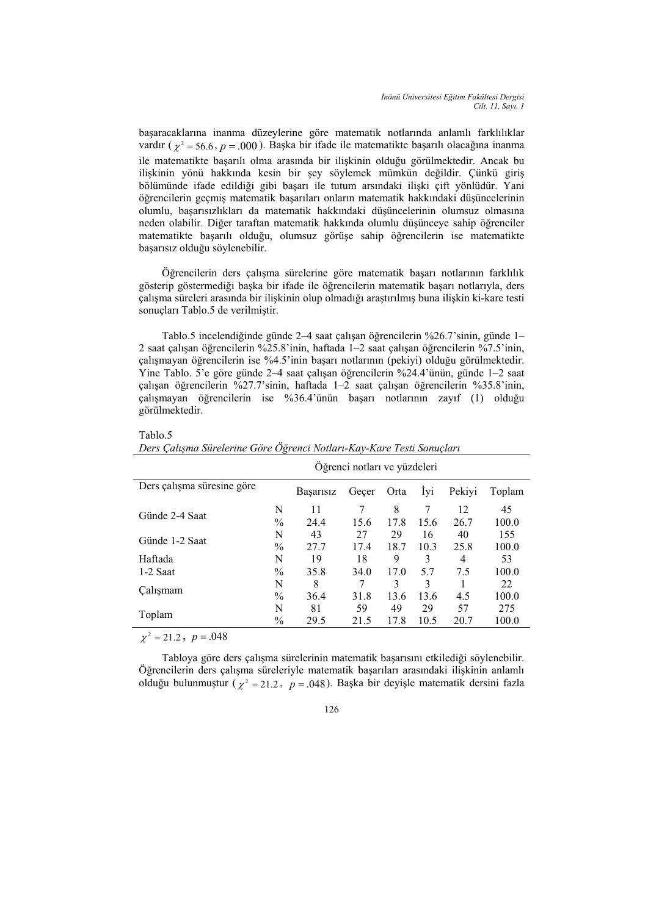başaracaklarına inanma düzeylerine göre matematik notlarında anlamlı farklılıklar vardır ( $\chi^2$  = 56.6,  $p$  = .000). Başka bir ifade ile matematikte başarılı olacağına inanma ile matematikte başarılı olma arasında bir ilişkinin olduğu görülmektedir. Ancak bu ilişkinin yönü hakkında kesin bir şey söylemek mümkün değildir. Çünkü giriş bölümünde ifade edildiği gibi başarı ile tutum arsındaki ilişki çift yönlüdür. Yani öğrencilerin geçmiş matematik başarıları onların matematik hakkındaki düşüncelerinin olumlu, başarısızlıkları da matematik hakkındaki düşüncelerinin olumsuz olmasına neden olabilir. Diğer taraftan matematik hakkında olumlu düşünceye sahip öğrenciler matematikte başarılı olduğu, olumsuz görüşe sahip öğrencilerin ise matematikte başarısız olduğu söylenebilir.

Öğrencilerin ders çalışma sürelerine göre matematik başarı notlarının farklılık gösterip göstermediği başka bir ifade ile öğrencilerin matematik başarı notlarıyla, ders çalışma süreleri arasında bir ilişkinin olup olmadığı araştırılmış buna ilişkin ki-kare testi sonuçları Tablo.5 de verilmiştir.

Tablo.5 incelendiğinde günde 2–4 saat çalışan öğrencilerin %26.7'sinin, günde 1– 2 saat çalışan öğrencilerin %25.8'inin, haftada 1–2 saat çalışan öğrencilerin %7.5'inin, çalışmayan öğrencilerin ise %4.5'inin başarı notlarının (pekiyi) olduğu görülmektedir. Yine Tablo. 5'e göre günde 2–4 saat çalışan öğrencilerin %24.4'ünün, günde 1–2 saat çalışan öğrencilerin %27.7'sinin, haftada 1–2 saat çalışan öğrencilerin %35.8'inin, çalışmayan öğrencilerin ise %36.4'ünün başarı notlarının zayıf (1) olduğu görülmektedir.

| Ders çalışma süresine göre<br>Pekiyi<br>Gecer<br>Iyi<br><b>Basarisiz</b><br>Orta | Toplam |
|----------------------------------------------------------------------------------|--------|
| 8<br>N<br>7<br>11<br>12<br>Günde 2-4 Saat                                        | 45     |
| $\frac{0}{0}$<br>24.4<br>15.6<br>17.8<br>15.6<br>26.7                            | 100.0  |
| 43<br>29<br>16<br>40<br>N<br>27<br>Günde 1-2 Saat                                | 155    |
| $\%$<br>27.7<br>10.3<br>25.8<br>17.4<br>18.7                                     | 100.0  |
| 18<br>3<br>Haftada<br>N<br>19<br>9<br>4                                          | 53     |
| $\frac{0}{0}$<br>7.5<br>35.8<br>17.0<br>5.7<br>1-2 Saat<br>34.0                  | 100.0  |
| 3<br>8<br>3<br>N                                                                 | 22     |
| Çalışmam<br>$\frac{0}{0}$<br>13.6<br>36.4<br>31.8<br>13.6<br>4.5                 | 100.0  |
| 49<br>N<br>81<br>59<br>29<br>57                                                  | 275    |
| Toplam<br>$\frac{0}{0}$<br>29.5<br>17.8<br>10.5<br>21.5<br>20.7                  | 100.0  |

Tablo.5 *Ders Çalışma Sürelerine Göre Öğrenci Notları-Kay-Kare Testi Sonuçları* 

 $\gamma^2 = 21.2$ ,  $p = .048$ 

Tabloya göre ders çalışma sürelerinin matematik başarısını etkilediği söylenebilir. Öğrencilerin ders çalışma süreleriyle matematik başarıları arasındaki ilişkinin anlamlı olduğu bulunmuştur ( $\chi^2 = 21.2$ ,  $p = .048$ ). Başka bir deyişle matematik dersini fazla

126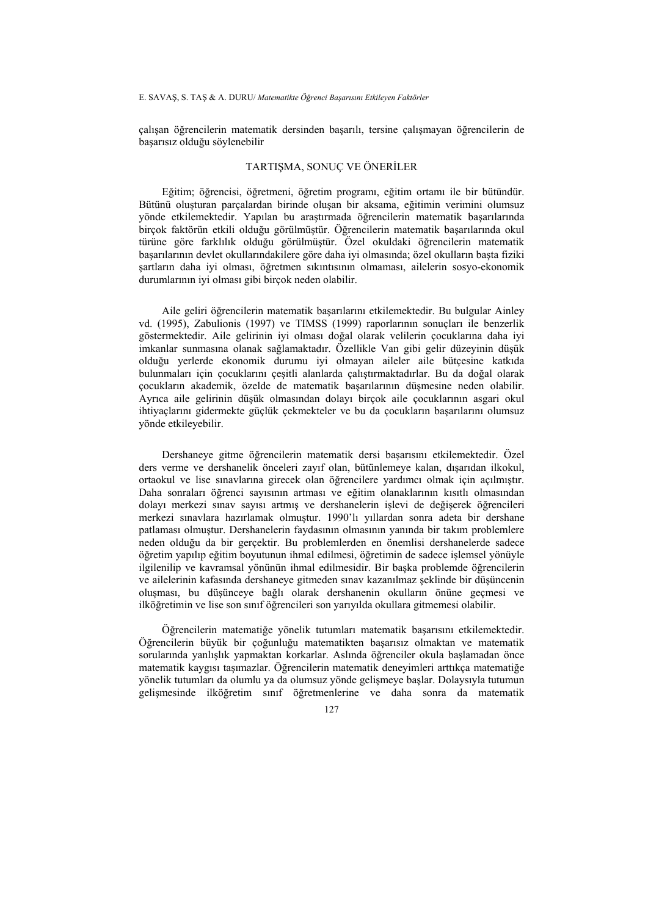çalışan öğrencilerin matematik dersinden başarılı, tersine çalışmayan öğrencilerin de başarısız olduğu söylenebilir

## TARTIŞMA, SONUÇ VE ÖNERİLER

Eğitim; öğrencisi, öğretmeni, öğretim programı, eğitim ortamı ile bir bütündür. Bütünü oluşturan parçalardan birinde oluşan bir aksama, eğitimin verimini olumsuz yönde etkilemektedir. Yapılan bu araştırmada öğrencilerin matematik başarılarında birçok faktörün etkili olduğu görülmüştür. Öğrencilerin matematik başarılarında okul türüne göre farklılık olduğu görülmüştür. Özel okuldaki öğrencilerin matematik başarılarının devlet okullarındakilere göre daha iyi olmasında; özel okulların başta fiziki şartların daha iyi olması, öğretmen sıkıntısının olmaması, ailelerin sosyo-ekonomik durumlarının iyi olması gibi birçok neden olabilir.

Aile geliri öğrencilerin matematik başarılarını etkilemektedir. Bu bulgular Ainley vd. (1995), Zabulionis (1997) ve TIMSS (1999) raporlarının sonuçları ile benzerlik göstermektedir. Aile gelirinin iyi olması doğal olarak velilerin çocuklarına daha iyi imkanlar sunmasına olanak sağlamaktadır. Özellikle Van gibi gelir düzeyinin düşük olduğu yerlerde ekonomik durumu iyi olmayan aileler aile bütçesine katkıda bulunmaları için çocuklarını çeşitli alanlarda çalıştırmaktadırlar. Bu da doğal olarak çocukların akademik, özelde de matematik başarılarının düşmesine neden olabilir. Ayrıca aile gelirinin düşük olmasından dolayı birçok aile çocuklarının asgari okul ihtiyaçlarını gidermekte güçlük çekmekteler ve bu da çocukların başarılarını olumsuz yönde etkileyebilir.

Dershaneye gitme öğrencilerin matematik dersi başarısını etkilemektedir. Özel ders verme ve dershanelik önceleri zayıf olan, bütünlemeye kalan, dışarıdan ilkokul, ortaokul ve lise sınavlarına girecek olan öğrencilere yardımcı olmak için açılmıştır. Daha sonraları öğrenci sayısının artması ve eğitim olanaklarının kısıtlı olmasından dolayı merkezi sınav sayısı artmış ve dershanelerin işlevi de değişerek öğrencileri merkezi sınavlara hazırlamak olmuştur. 1990'lı yıllardan sonra adeta bir dershane patlaması olmuştur. Dershanelerin faydasının olmasının yanında bir takım problemlere neden olduğu da bir gerçektir. Bu problemlerden en önemlisi dershanelerde sadece öğretim yapılıp eğitim boyutunun ihmal edilmesi, öğretimin de sadece işlemsel yönüyle ilgilenilip ve kavramsal yönünün ihmal edilmesidir. Bir başka problemde öğrencilerin ve ailelerinin kafasında dershaneye gitmeden sınav kazanılmaz şeklinde bir düşüncenin oluşması, bu düşünceye bağlı olarak dershanenin okulların önüne geçmesi ve ilköğretimin ve lise son sınıf öğrencileri son yarıyılda okullara gitmemesi olabilir.

Öğrencilerin matematiğe yönelik tutumları matematik başarısını etkilemektedir. Öğrencilerin büyük bir çoğunluğu matematikten başarısız olmaktan ve matematik sorularında yanlışlık yapmaktan korkarlar. Aslında öğrenciler okula başlamadan önce matematik kaygısı taşımazlar. Öğrencilerin matematik deneyimleri arttıkça matematiğe yönelik tutumları da olumlu ya da olumsuz yönde gelişmeye başlar. Dolaysıyla tutumun gelişmesinde ilköğretim sınıf öğretmenlerine ve daha sonra da matematik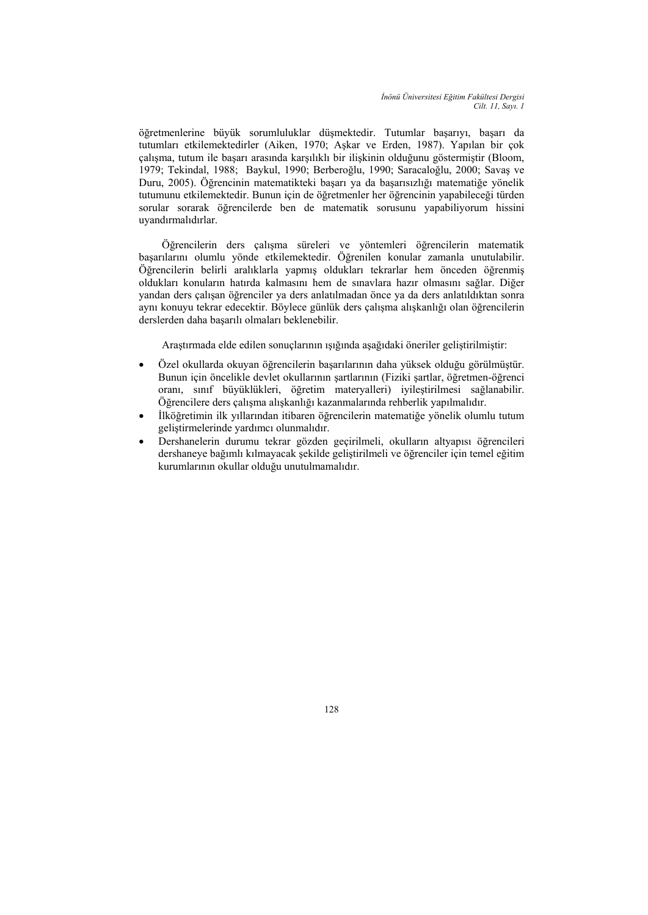öğretmenlerine büyük sorumluluklar düşmektedir. Tutumlar başarıyı, başarı da tutumları etkilemektedirler (Aiken, 1970; Aşkar ve Erden, 1987). Yapılan bir çok çalışma, tutum ile başarı arasında karşılıklı bir ilişkinin olduğunu göstermiştir (Bloom, 1979; Tekindal, 1988; Baykul, 1990; Berberoğlu, 1990; Saracaloğlu, 2000; Savaş ve Duru, 2005). Öğrencinin matematikteki başarı ya da başarısızlığı matematiğe yönelik tutumunu etkilemektedir. Bunun için de öğretmenler her öğrencinin yapabileceği türden sorular sorarak öğrencilerde ben de matematik sorusunu yapabiliyorum hissini uyandırmalıdırlar.

Öğrencilerin ders çalışma süreleri ve yöntemleri öğrencilerin matematik başarılarını olumlu yönde etkilemektedir. Öğrenilen konular zamanla unutulabilir. Öğrencilerin belirli aralıklarla yapmış oldukları tekrarlar hem önceden öğrenmiş oldukları konuların hatırda kalmasını hem de sınavlara hazır olmasını sağlar. Diğer yandan ders çalışan öğrenciler ya ders anlatılmadan önce ya da ders anlatıldıktan sonra aynı konuyu tekrar edecektir. Böylece günlük ders çalışma alışkanlığı olan öğrencilerin derslerden daha başarılı olmaları beklenebilir.

Araştırmada elde edilen sonuçlarının ışığında aşağıdaki öneriler geliştirilmiştir:

- Özel okullarda okuyan öğrencilerin başarılarının daha yüksek olduğu görülmüştür. Bunun için öncelikle devlet okullarının şartlarının (Fiziki şartlar, öğretmen-öğrenci oranı, sınıf büyüklükleri, öğretim materyalleri) iyileştirilmesi sağlanabilir. Öğrencilere ders çalışma alışkanlığı kazanmalarında rehberlik yapılmalıdır.
- İlköğretimin ilk yıllarından itibaren öğrencilerin matematiğe yönelik olumlu tutum geliştirmelerinde yardımcı olunmalıdır.
- Dershanelerin durumu tekrar gözden geçirilmeli, okulların altyapısı öğrencileri dershaneye bağımlı kılmayacak şekilde geliştirilmeli ve öğrenciler için temel eğitim kurumlarının okullar olduğu unutulmamalıdır.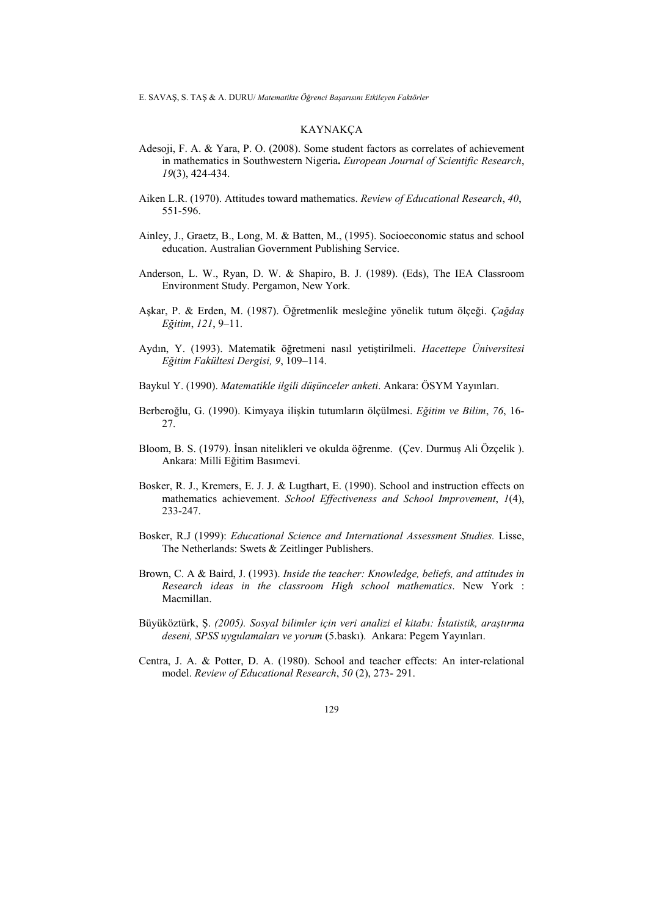E. SAVAŞ, S. TAŞ & A. DURU/ *Matematikte Öğrenci Başarısını Etkileyen Faktörler* 

# KAYNAKÇA

- Adesoji, F. A. & Yara, P. O. (2008). Some student factors as correlates of achievement in mathematics in Southwestern Nigeria**.** *European Journal of Scientific Research*, *19*(3), 424-434.
- Aiken L.R. (1970). Attitudes toward mathematics. *Review of Educational Research*, *40*, 551-596.
- Ainley, J., Graetz, B., Long, M. & Batten, M., (1995). Socioeconomic status and school education. Australian Government Publishing Service.
- Anderson, L. W., Ryan, D. W. & Shapiro, B. J. (1989). (Eds), The IEA Classroom Environment Study. Pergamon, New York.
- Aşkar, P. & Erden, M. (1987). Öğretmenlik mesleğine yönelik tutum ölçeği. *Çağdaş Eğitim*, *121*, 9–11.
- Aydın, Y. (1993). Matematik öğretmeni nasıl yetiştirilmeli. *Hacettepe Üniversitesi Eğitim Fakültesi Dergisi, 9*, 109–114.
- Baykul Y. (1990). *Matematikle ilgili düşünceler anketi*. Ankara: ÖSYM Yayınları.
- Berberoğlu, G. (1990). Kimyaya ilişkin tutumların ölçülmesi. *Eğitim ve Bilim*, *76*, 16- 27.
- Bloom, B. S. (1979). İnsan nitelikleri ve okulda öğrenme. (Çev. Durmuş Ali Özçelik ). Ankara: Milli Eğitim Basımevi.
- Bosker, R. J., Kremers, E. J. J. & Lugthart, E. (1990). School and instruction effects on mathematics achievement. *School Effectiveness and School Improvement*, *1*(4), 233-247.
- Bosker, R.J (1999): *Educational Science and International Assessment Studies.* Lisse, The Netherlands: Swets & Zeitlinger Publishers.
- Brown, C. A & Baird, J. (1993). *Inside the teacher: Knowledge, beliefs, and attitudes in Research ideas in the classroom High school mathematics*. New York : Macmillan.
- Büyüköztürk, Ş. *(2005). Sosyal bilimler için veri analizi el kitabı: İstatistik, araştırma deseni, SPSS uygulamaları ve yorum* (5.baskı). Ankara: Pegem Yayınları.
- Centra, J. A. & Potter, D. A. (1980). School and teacher effects: An inter-relational model. *Review of Educational Research*, *50* (2), 273- 291.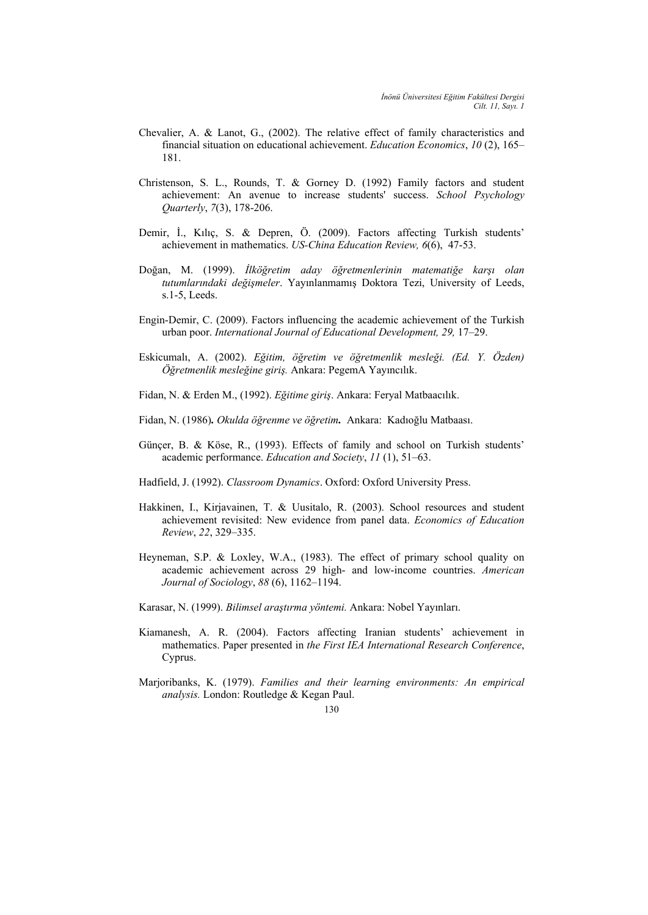- Chevalier, A. & Lanot, G., (2002). The relative effect of family characteristics and financial situation on educational achievement. *Education Economics*, *10* (2), 165– 181.
- Christenson, S. L., Rounds, T. & Gorney D. (1992) Family factors and student achievement: An avenue to increase students' success. *School Psychology Quarterly*, *7*(3), 178-206.
- Demir, İ., Kılıç, S. & Depren, Ö. (2009). Factors affecting Turkish students' achievement in mathematics. *US-China Education Review, 6*(6), 47-53.
- Doğan, M. (1999). *İlköğretim aday öğretmenlerinin matematiğe karşı olan tutumlarındaki değişmeler*. Yayınlanmamış Doktora Tezi, University of Leeds, s.1-5, Leeds.
- Engin-Demir, C. (2009). Factors influencing the academic achievement of the Turkish urban poor. *International Journal of Educational Development, 29,* 17–29.
- Eskicumalı, A. (2002). *Eğitim, öğretim ve öğretmenlik mesleği. (Ed. Y. Özden) Öğretmenlik mesleğine giriş.* Ankara: PegemA Yayıncılık.
- Fidan, N. & Erden M., (1992). *Eğitime giriş*. Ankara: Feryal Matbaacılık.
- Fidan, N. (1986)*. Okulda öğrenme ve öğretim.* Ankara: Kadıoğlu Matbaası.
- Günçer, B. & Köse, R., (1993). Effects of family and school on Turkish students' academic performance. *Education and Society*, *11* (1), 51–63.
- Hadfield, J. (1992). *Classroom Dynamics*. Oxford: Oxford University Press.
- Hakkinen, I., Kirjavainen, T. & Uusitalo, R. (2003). School resources and student achievement revisited: New evidence from panel data. *Economics of Education Review*, *22*, 329–335.
- Heyneman, S.P. & Loxley, W.A., (1983). The effect of primary school quality on academic achievement across 29 high- and low-income countries. *American Journal of Sociology*, *88* (6), 1162–1194.
- Karasar, N. (1999). *Bilimsel araştırma yöntemi.* Ankara: Nobel Yayınları.
- Kiamanesh, A. R. (2004). Factors affecting Iranian students' achievement in mathematics. Paper presented in *the First IEA International Research Conference*, Cyprus.
- Marjoribanks, K. (1979). *Families and their learning environments: An empirical analysis.* London: Routledge & Kegan Paul.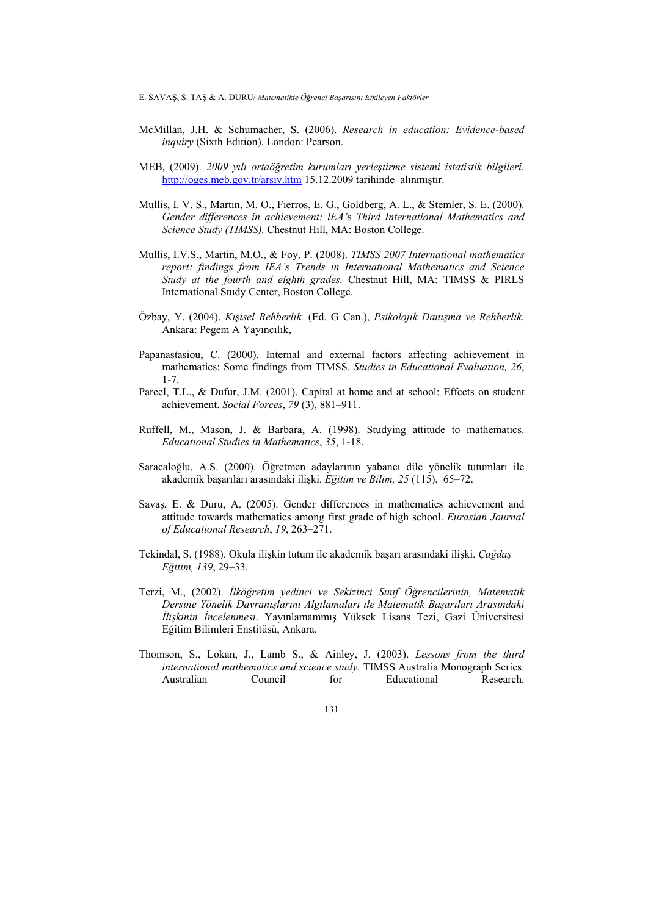E. SAVAŞ, S. TAŞ & A. DURU/ *Matematikte Öğrenci Başarısını Etkileyen Faktörler* 

- McMillan, J.H. & Schumacher, S. (2006). *Research in education: Evidence-based inquiry* (Sixth Edition). London: Pearson.
- MEB, (2009). *2009 yılı ortaöğretim kurumları yerleştirme sistemi istatistik bilgileri.* http://oges.meb.gov.tr/arsiv.htm 15.12.2009 tarihinde alınmıştır.
- Mullis, I. V. S., Martin, M. O., Fierros, E. G., Goldberg, A. L., & Stemler, S. E. (2000). *Gender differences in achievement: lEA'*s *Third International Mathematics and Science Study (TIMSS).* Chestnut Hill, MA: Boston College.
- Mullis, I.V.S., Martin, M.O., & Foy, P. (2008). *TIMSS 2007 International mathematics report: findings from IEA's Trends in International Mathematics and Science Study at the fourth and eighth grades.* Chestnut Hill, MA: TIMSS & PIRLS International Study Center, Boston College.
- Özbay, Y. (2004). *Kişisel Rehberlik.* (Ed. G Can.), *Psikolojik Danışma ve Rehberlik.* Ankara: Pegem A Yayıncılık,
- Papanastasiou, C. (2000). Internal and external factors affecting achievement in mathematics: Some findings from TIMSS. *Studies in Educational Evaluation, 26*, 1-7.
- Parcel, T.L., & Dufur, J.M. (2001). Capital at home and at school: Effects on student achievement. *Social Forces*, *79* (3), 881–911.
- Ruffell, M., Mason, J. & Barbara, A. (1998). Studying attitude to mathematics. *Educational Studies in Mathematics*, *35*, 1-18.
- Saracaloğlu, A.S. (2000). Öğretmen adaylarının yabancı dile yönelik tutumları ile akademik başarıları arasındaki ilişki. *Eğitim ve Bilim, 25* (115), 65–72.
- Savaş, E. & Duru, A. (2005). Gender differences in mathematics achievement and attitude towards mathematics among first grade of high school. *Eurasian Journal of Educational Research*, *19*, 263–271.
- Tekindal, S. (1988). Okula ilişkin tutum ile akademik başarı arasındaki ilişki. *Çağdaş Eğitim, 139*, 29–33.
- Terzi, M., (2002). *İlköğretim yedinci ve Sekizinci Sınıf Öğrencilerinin, Matematik Dersine Yönelik Davranışlarını Algılamaları ile Matematik Başarıları Arasındaki İlişkinin İncelenmesi*. Yayınlamammış Yüksek Lisans Tezi, Gazi Üniversitesi Eğitim Bilimleri Enstitüsü, Ankara.
- Thomson, S., Lokan, J., Lamb S., & Ainley, J. (2003). *Lessons from the third international mathematics and science study.* TIMSS Australia Monograph Series. Australian Council for Educational Research.